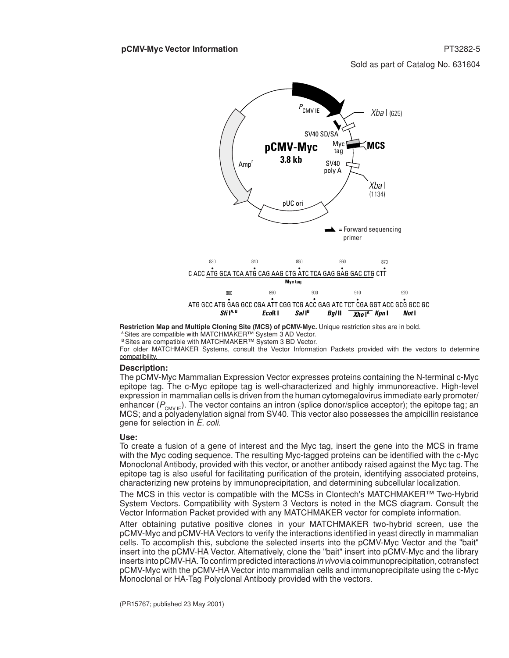Sold as part of Catalog No. 631604



**Restriction Map and Multiple Cloning Site (MCS) of pCMV-Myc.** Unique restriction sites are in bold. <sup>A</sup> Sites are compatible with MATCHMAKER™ System 3 AD Vector.

<sup>B</sup> Sites are compatible with MATCHMAKER™ System 3 BD Vector.

For older MATCHMAKER Systems, consult the Vector Information Packets provided with the vectors to determine compatibility.

#### **Description:**

The pCMV-Myc Mammalian Expression Vector expresses proteins containing the N-terminal c-Myc epitope tag. The c-Myc epitope tag is well-characterized and highly immunoreactive. High-level expression in mammalian cells is driven from the human cytomegalovirus immediate early promoter/ enhancer ( $P_{\text{CMV/E}}$ ). The vector contains an intron (splice donor/splice acceptor); the epitope tag; an MCS; and a polyadenylation signal from SV40. This vector also possesses the ampicillin resistance gene for selection in *E. coli.*

#### **Use:**

To create a fusion of a gene of interest and the Myc tag, insert the gene into the MCS in frame with the Myc coding sequence. The resulting Myc-tagged proteins can be identified with the c-Myc Monoclonal Antibody, provided with this vector, or another antibody raised against the Myc tag. The epitope tag is also useful for facilitating purification of the protein, identifying associated proteins, characterizing new proteins by immunoprecipitation, and determining subcellular localization.

The MCS in this vector is compatible with the MCSs in Clontech's MATCHMAKER™ Two-Hybrid System Vectors. Compatibility with System 3 Vectors is noted in the MCS diagram. Consult the Vector Information Packet provided with any MATCHMAKER vector for complete information.

After obtaining putative positive clones in your MATCHMAKER two-hybrid screen, use the pCMV-Myc and pCMV-HA Vectors to verify the interactions identified in yeast directly in mammalian cells. To accomplish this, subclone the selected inserts into the pCMV-Myc Vector and the "bait" insert into the pCMV-HA Vector. Alternatively, clone the "bait" insert into pCMV-Myc and the library inserts intopCMV-HA.Toconfirmpredictedinteractions *in vivo*viacoimmunoprecipitation, cotransfect pCMV-Myc with the pCMV-HA Vector into mammalian cells and immunoprecipitate using the c-Myc Monoclonal or HA-Tag Polyclonal Antibody provided with the vectors.